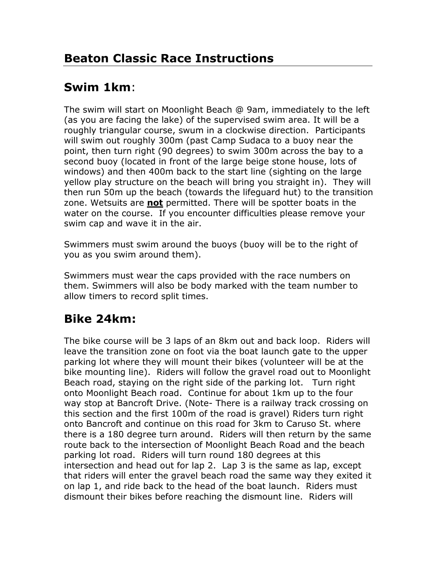# **Swim 1km**:

The swim will start on Moonlight Beach @ 9am, immediately to the left (as you are facing the lake) of the supervised swim area. It will be a roughly triangular course, swum in a clockwise direction. Participants will swim out roughly 300m (past Camp Sudaca to a buoy near the point, then turn right (90 degrees) to swim 300m across the bay to a second buoy (located in front of the large beige stone house, lots of windows) and then 400m back to the start line (sighting on the large yellow play structure on the beach will bring you straight in). They will then run 50m up the beach (towards the lifeguard hut) to the transition zone. Wetsuits are **not** permitted. There will be spotter boats in the water on the course. If you encounter difficulties please remove your swim cap and wave it in the air.

Swimmers must swim around the buoys (buoy will be to the right of you as you swim around them).

Swimmers must wear the caps provided with the race numbers on them. Swimmers will also be body marked with the team number to allow timers to record split times.

# **Bike 24km:**

The bike course will be 3 laps of an 8km out and back loop. Riders will leave the transition zone on foot via the boat launch gate to the upper parking lot where they will mount their bikes (volunteer will be at the bike mounting line). Riders will follow the gravel road out to Moonlight Beach road, staying on the right side of the parking lot. Turn right onto Moonlight Beach road. Continue for about 1km up to the four way stop at Bancroft Drive. (Note- There is a railway track crossing on this section and the first 100m of the road is gravel) Riders turn right onto Bancroft and continue on this road for 3km to Caruso St. where there is a 180 degree turn around. Riders will then return by the same route back to the intersection of Moonlight Beach Road and the beach parking lot road. Riders will turn round 180 degrees at this intersection and head out for lap 2. Lap 3 is the same as lap, except that riders will enter the gravel beach road the same way they exited it on lap 1, and ride back to the head of the boat launch. Riders must dismount their bikes before reaching the dismount line. Riders will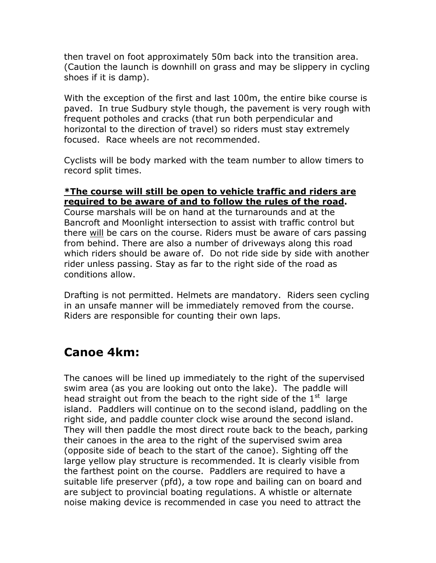then travel on foot approximately 50m back into the transition area. (Caution the launch is downhill on grass and may be slippery in cycling shoes if it is damp).

With the exception of the first and last 100m, the entire bike course is paved. In true Sudbury style though, the pavement is very rough with frequent potholes and cracks (that run both perpendicular and horizontal to the direction of travel) so riders must stay extremely focused. Race wheels are not recommended.

Cyclists will be body marked with the team number to allow timers to record split times.

#### **\*The course will still be open to vehicle traffic and riders are required to be aware of and to follow the rules of the road.**

Course marshals will be on hand at the turnarounds and at the Bancroft and Moonlight intersection to assist with traffic control but there will be cars on the course. Riders must be aware of cars passing from behind. There are also a number of driveways along this road which riders should be aware of. Do not ride side by side with another rider unless passing. Stay as far to the right side of the road as conditions allow.

Drafting is not permitted. Helmets are mandatory. Riders seen cycling in an unsafe manner will be immediately removed from the course. Riders are responsible for counting their own laps.

#### **Canoe 4km:**

The canoes will be lined up immediately to the right of the supervised swim area (as you are looking out onto the lake). The paddle will head straight out from the beach to the right side of the  $1<sup>st</sup>$  large island. Paddlers will continue on to the second island, paddling on the right side, and paddle counter clock wise around the second island. They will then paddle the most direct route back to the beach, parking their canoes in the area to the right of the supervised swim area (opposite side of beach to the start of the canoe). Sighting off the large yellow play structure is recommended. It is clearly visible from the farthest point on the course. Paddlers are required to have a suitable life preserver (pfd), a tow rope and bailing can on board and are subject to provincial boating regulations. A whistle or alternate noise making device is recommended in case you need to attract the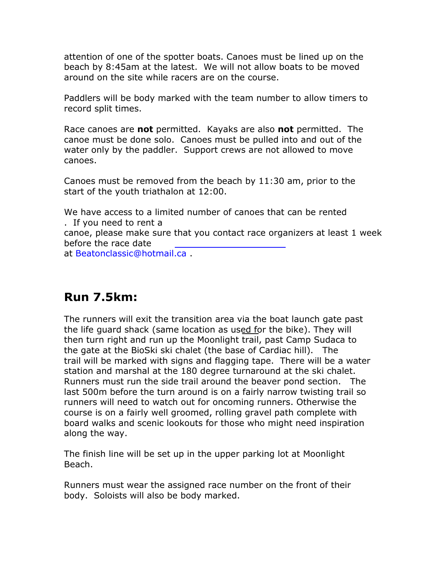attention of one of the spotter boats. Canoes must be lined up on the beach by 8:45am at the latest. We will not allow boats to be moved around on the site while racers are on the course.

Paddlers will be body marked with the team number to allow timers to record split times.

Race canoes are **not** permitted. Kayaks are also **not** permitted. The canoe must be done solo. Canoes must be pulled into and out of the water only by the paddler. Support crews are not allowed to move canoes.

Canoes must be removed from the beach by 11:30 am, prior to the start of the youth triathalon at 12:00.

We have access to a limited number of canoes that can be rented . If you need to rent a

canoe, please make sure that you contact race organizers at least 1 week before the race date

at Beatonclassic@hotmail.ca .

#### **Run 7.5km:**

The runners will exit the transition area via the boat launch gate past the life guard shack (same location as used for the bike). They will then turn right and run up the Moonlight trail, past Camp Sudaca to the gate at the BioSki ski chalet (the base of Cardiac hill). The trail will be marked with signs and flagging tape. There will be a water station and marshal at the 180 degree turnaround at the ski chalet. Runners must run the side trail around the beaver pond section. The last 500m before the turn around is on a fairly narrow twisting trail so runners will need to watch out for oncoming runners. Otherwise the course is on a fairly well groomed, rolling gravel path complete with board walks and scenic lookouts for those who might need inspiration along the way.

The finish line will be set up in the upper parking lot at Moonlight Beach.

Runners must wear the assigned race number on the front of their body. Soloists will also be body marked.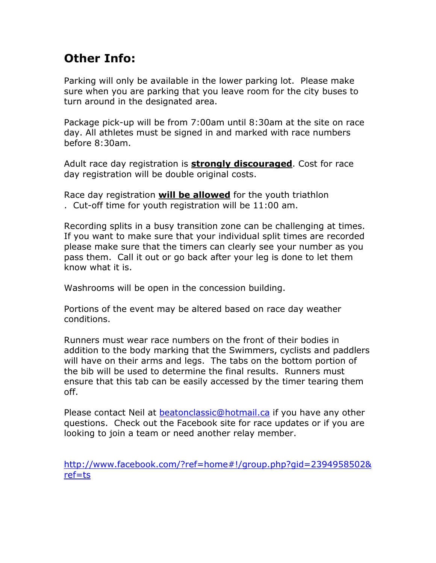## **Other Info:**

Parking will only be available in the lower parking lot. Please make sure when you are parking that you leave room for the city buses to turn around in the designated area.

Package pick-up will be from 7:00am until 8:30am at the site on race day. All athletes must be signed in and marked with race numbers before 8:30am.

Adult race day registration is **strongly discouraged**. Cost for race day registration will be double original costs.

Race day registration **will be allowed** for the youth triathlon . Cut-off time for youth registration will be 11:00 am.

Recording splits in a busy transition zone can be challenging at times. If you want to make sure that your individual split times are recorded please make sure that the timers can clearly see your number as you pass them. Call it out or go back after your leg is done to let them know what it is.

Washrooms will be open in the concession building.

Portions of the event may be altered based on race day weather conditions.

Runners must wear race numbers on the front of their bodies in addition to the body marking that the Swimmers, cyclists and paddlers will have on their arms and legs. The tabs on the bottom portion of the bib will be used to determine the final results. Runners must ensure that this tab can be easily accessed by the timer tearing them off.

Please contact Neil at [beatonclassic@hotmail.ca](mailto:beatonclassic@htomail.ca) if you have any other questions. Check out the Facebook site for race updates or if you are looking to join a team or need another relay member.

[http://www.facebook.com/?ref=home#!/group.php?gid=2394958502&](http://www.facebook.com/?ref=home#!/group.php?gid=2394958502&ref=ts) [ref=ts](http://www.facebook.com/?ref=home#!/group.php?gid=2394958502&ref=ts)